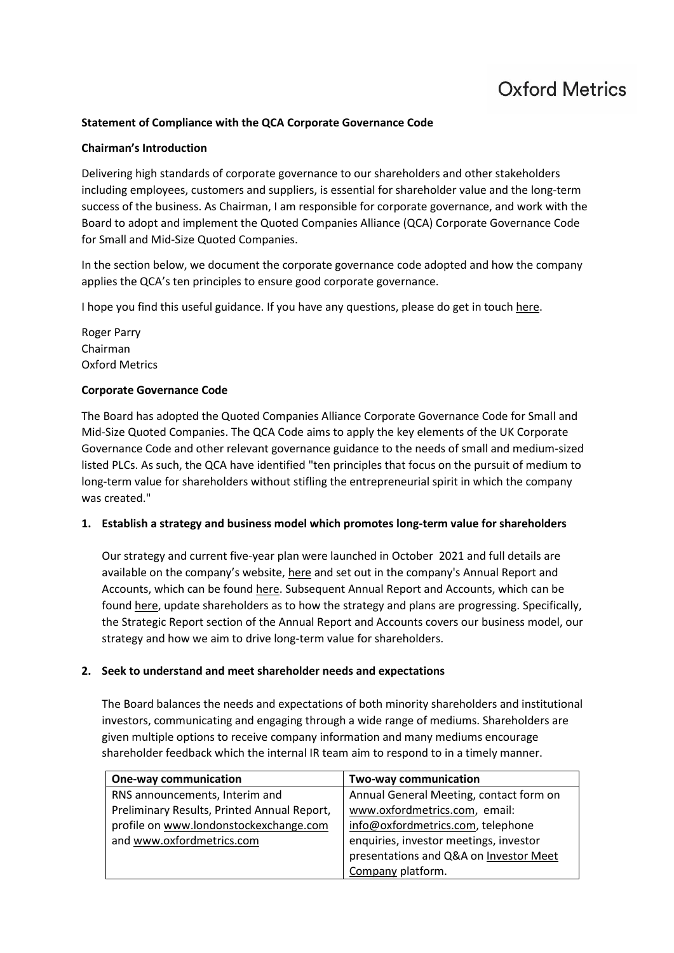# **Oxford Metrics**

#### **Statement of Compliance with the QCA Corporate Governance Code**

#### **Chairman's Introduction**

Delivering high standards of corporate governance to our shareholders and other stakeholders including employees, customers and suppliers, is essential for shareholder value and the long-term success of the business. As Chairman, I am responsible for corporate governance, and work with the Board to adopt and implement the Quoted Companies Alliance (QCA) Corporate Governance Code for Small and Mid-Size Quoted Companies.

In the section below, we document the corporate governance code adopted and how the company applies the QCA's ten principles to ensure good corporate governance.

I hope you find this useful guidance. If you have any questions, please do get in touc[h here.](https://www.oxfordmetrics.com/contact)

Roger Parry Chairman Oxford Metrics

#### **Corporate Governance Code**

The Board has adopted the Quoted Companies Alliance Corporate Governance Code for Small and Mid-Size Quoted Companies. The QCA Code aims to apply the key elements of the UK Corporate Governance Code and other relevant governance guidance to the needs of small and medium-sized listed PLCs. As such, the QCA have identified "ten principles that focus on the pursuit of medium to long-term value for shareholders without stifling the entrepreneurial spirit in which the company was created."

#### **1. Establish a strategy and business model which promotes long-term value for shareholders**

Our strategy and current five-year plan were launched in October 2021 and full details are available on the company's website, [here](https://oxfordmetrics.com/strategy) and set out in the company's Annual Report and Accounts, which can be found [here.](https://oxfordmetrics.com/file/oxfordmetrics/2021-oxford-metrics-annual-report-96413.pdf) Subsequent Annual Report and Accounts, which can be found [here,](https://oxfordmetrics.com/financials#results) update shareholders as to how the strategy and plans are progressing. Specifically, the Strategic Report section of the Annual Report and Accounts covers our business model, our strategy and how we aim to drive long-term value for shareholders.

#### **2. Seek to understand and meet shareholder needs and expectations**

The Board balances the needs and expectations of both minority shareholders and institutional investors, communicating and engaging through a wide range of mediums. Shareholders are given multiple options to receive company information and many mediums encourage shareholder feedback which the internal IR team aim to respond to in a timely manner.

| <b>One-way communication</b>                | Two-way communication                   |
|---------------------------------------------|-----------------------------------------|
| RNS announcements, Interim and              | Annual General Meeting, contact form on |
| Preliminary Results, Printed Annual Report, | www.oxfordmetrics.com, email:           |
| profile on www.londonstockexchange.com      | info@oxfordmetrics.com, telephone       |
| and www.oxfordmetrics.com                   | enquiries, investor meetings, investor  |
|                                             | presentations and Q&A on Investor Meet  |
|                                             | Company platform.                       |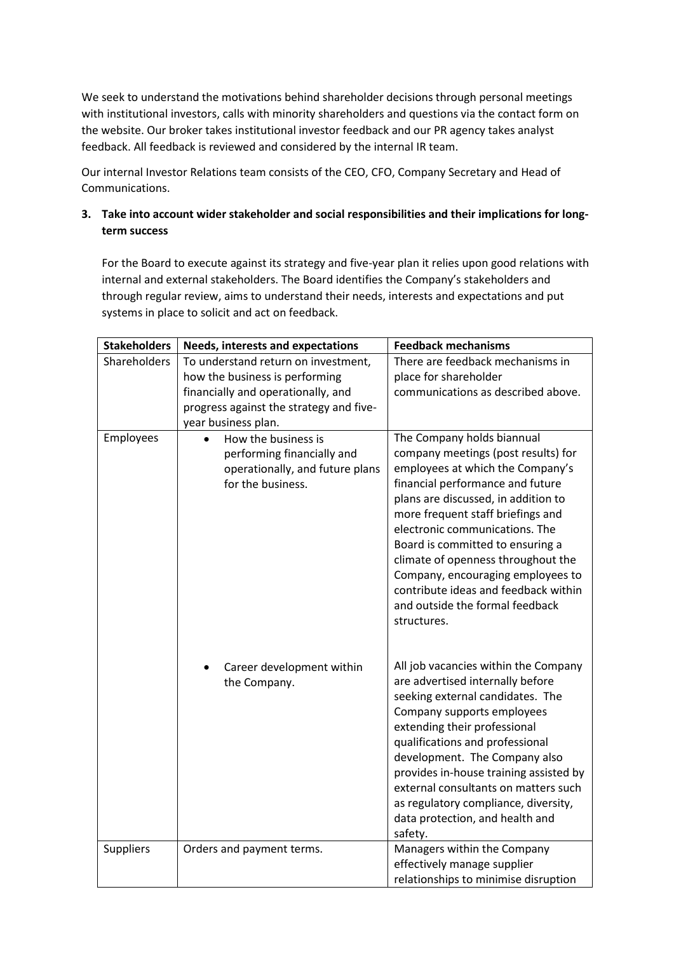We seek to understand the motivations behind shareholder decisions through personal meetings with institutional investors, calls with minority shareholders and questions via the contact form on the website. Our broker takes institutional investor feedback and our PR agency takes analyst feedback. All feedback is reviewed and considered by the internal IR team.

Our internal Investor Relations team consists of the CEO, CFO, Company Secretary and Head of Communications.

# **3. Take into account wider stakeholder and social responsibilities and their implications for longterm success**

For the Board to execute against its strategy and five-year plan it relies upon good relations with internal and external stakeholders. The Board identifies the Company's stakeholders and through regular review, aims to understand their needs, interests and expectations and put systems in place to solicit and act on feedback.

| <b>Stakeholders</b> | <b>Needs, interests and expectations</b>                                                                                                                                      | <b>Feedback mechanisms</b>                                                                                                                                                                                                                                                                                                                                                                                                                                       |
|---------------------|-------------------------------------------------------------------------------------------------------------------------------------------------------------------------------|------------------------------------------------------------------------------------------------------------------------------------------------------------------------------------------------------------------------------------------------------------------------------------------------------------------------------------------------------------------------------------------------------------------------------------------------------------------|
| Shareholders        | To understand return on investment,<br>how the business is performing<br>financially and operationally, and<br>progress against the strategy and five-<br>year business plan. | There are feedback mechanisms in<br>place for shareholder<br>communications as described above.                                                                                                                                                                                                                                                                                                                                                                  |
| Employees           | How the business is<br>performing financially and<br>operationally, and future plans<br>for the business.                                                                     | The Company holds biannual<br>company meetings (post results) for<br>employees at which the Company's<br>financial performance and future<br>plans are discussed, in addition to<br>more frequent staff briefings and<br>electronic communications. The<br>Board is committed to ensuring a<br>climate of openness throughout the<br>Company, encouraging employees to<br>contribute ideas and feedback within<br>and outside the formal feedback<br>structures. |
|                     | Career development within<br>the Company.                                                                                                                                     | All job vacancies within the Company<br>are advertised internally before<br>seeking external candidates. The<br>Company supports employees<br>extending their professional<br>qualifications and professional<br>development. The Company also<br>provides in-house training assisted by<br>external consultants on matters such<br>as regulatory compliance, diversity,<br>data protection, and health and<br>safety.                                           |
| <b>Suppliers</b>    | Orders and payment terms.                                                                                                                                                     | Managers within the Company<br>effectively manage supplier<br>relationships to minimise disruption                                                                                                                                                                                                                                                                                                                                                               |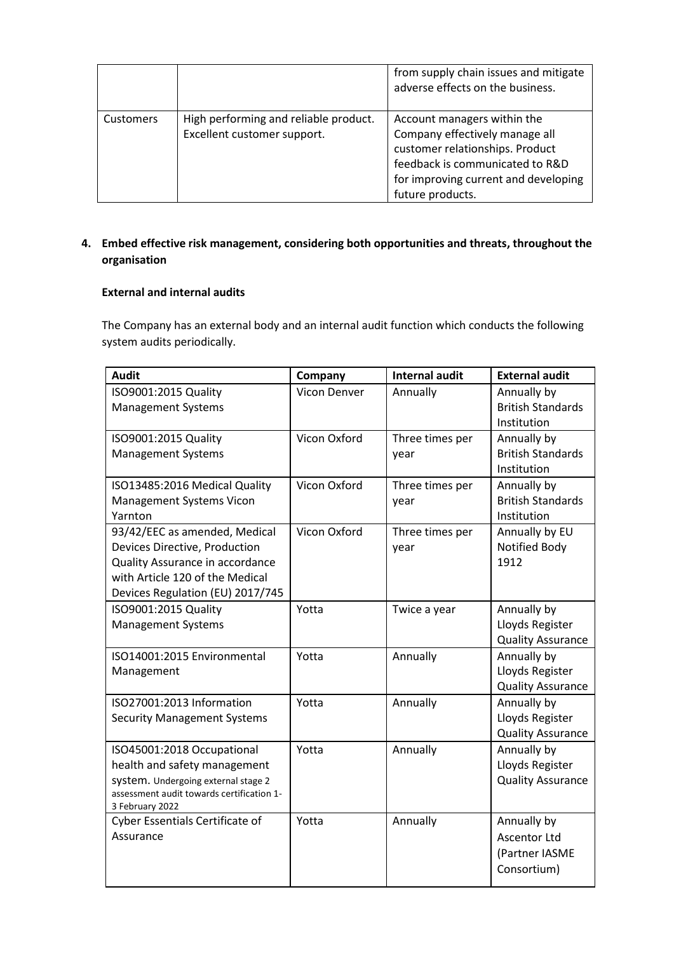|                  |                                                                      | from supply chain issues and mitigate<br>adverse effects on the business.                                                                                                                       |
|------------------|----------------------------------------------------------------------|-------------------------------------------------------------------------------------------------------------------------------------------------------------------------------------------------|
| <b>Customers</b> | High performing and reliable product.<br>Excellent customer support. | Account managers within the<br>Company effectively manage all<br>customer relationships. Product<br>feedback is communicated to R&D<br>for improving current and developing<br>future products. |

# **4. Embed effective risk management, considering both opportunities and threats, throughout the organisation**

# **External and internal audits**

The Company has an external body and an internal audit function which conducts the following system audits periodically.

| <b>Audit</b>                                                 | Company      | <b>Internal audit</b> | <b>External audit</b>    |
|--------------------------------------------------------------|--------------|-----------------------|--------------------------|
| ISO9001:2015 Quality                                         | Vicon Denver | Annually              | Annually by              |
| <b>Management Systems</b>                                    |              |                       | <b>British Standards</b> |
|                                                              |              |                       | Institution              |
| ISO9001:2015 Quality                                         | Vicon Oxford | Three times per       | Annually by              |
| <b>Management Systems</b>                                    |              | year                  | <b>British Standards</b> |
|                                                              |              |                       | Institution              |
| ISO13485:2016 Medical Quality                                | Vicon Oxford | Three times per       | Annually by              |
| <b>Management Systems Vicon</b>                              |              | year                  | <b>British Standards</b> |
| Yarnton                                                      |              |                       | Institution              |
| 93/42/EEC as amended, Medical                                | Vicon Oxford | Three times per       | Annually by EU           |
| Devices Directive, Production                                |              | year                  | Notified Body            |
| Quality Assurance in accordance                              |              |                       | 1912                     |
| with Article 120 of the Medical                              |              |                       |                          |
| Devices Regulation (EU) 2017/745                             |              |                       |                          |
| ISO9001:2015 Quality                                         | Yotta        | Twice a year          | Annually by              |
| <b>Management Systems</b>                                    |              |                       | Lloyds Register          |
|                                                              |              |                       | <b>Quality Assurance</b> |
| ISO14001:2015 Environmental                                  | Yotta        | Annually              | Annually by              |
| Management                                                   |              |                       | Lloyds Register          |
|                                                              |              |                       | <b>Quality Assurance</b> |
| ISO27001:2013 Information                                    | Yotta        | Annually              | Annually by              |
| <b>Security Management Systems</b>                           |              |                       | Lloyds Register          |
|                                                              |              |                       | <b>Quality Assurance</b> |
| ISO45001:2018 Occupational                                   | Yotta        | Annually              | Annually by              |
| health and safety management                                 |              |                       | Lloyds Register          |
| system. Undergoing external stage 2                          |              |                       | <b>Quality Assurance</b> |
| assessment audit towards certification 1-<br>3 February 2022 |              |                       |                          |
| Cyber Essentials Certificate of                              | Yotta        | Annually              | Annually by              |
| Assurance                                                    |              |                       | <b>Ascentor Ltd</b>      |
|                                                              |              |                       | (Partner IASME           |
|                                                              |              |                       | Consortium)              |
|                                                              |              |                       |                          |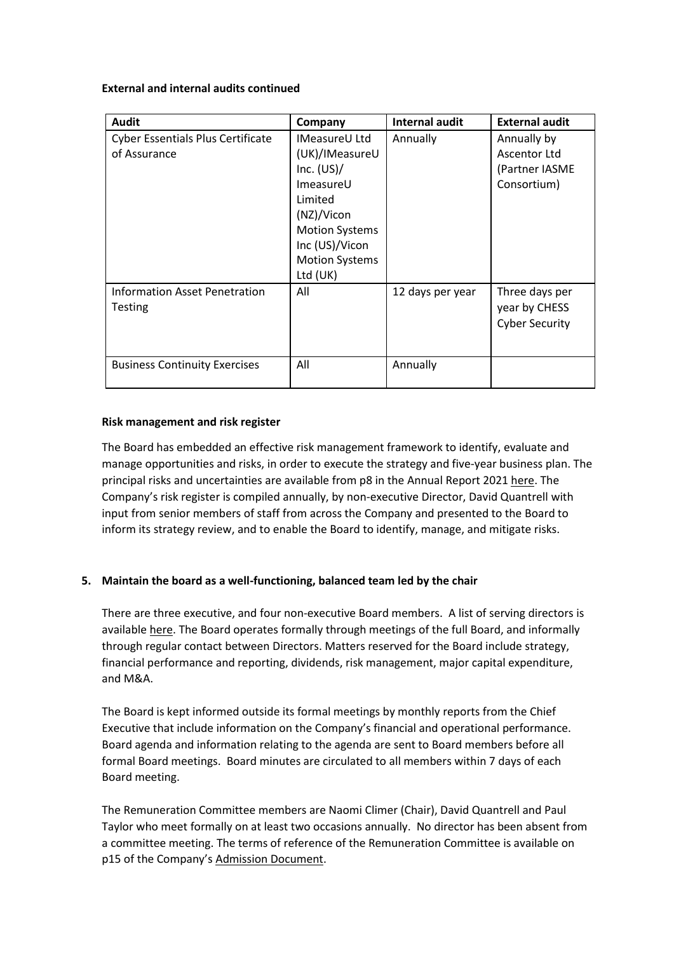**External and internal audits continued** 

| <b>Audit</b>                                             | Company                                                                                                                                                                        | <b>Internal audit</b> | <b>External audit</b>                                        |
|----------------------------------------------------------|--------------------------------------------------------------------------------------------------------------------------------------------------------------------------------|-----------------------|--------------------------------------------------------------|
| <b>Cyber Essentials Plus Certificate</b><br>of Assurance | <b>IMeasureU Ltd</b><br>(UK)/IMeasureU<br>Inc. $(US)/$<br>ImeasureU<br>Limited<br>(NZ)/Vicon<br><b>Motion Systems</b><br>Inc (US)/Vicon<br><b>Motion Systems</b><br>Ltd $(UK)$ | Annually              | Annually by<br>Ascentor Ltd<br>(Partner IASME<br>Consortium) |
| <b>Information Asset Penetration</b><br>Testing          | All                                                                                                                                                                            | 12 days per year      | Three days per<br>year by CHESS<br><b>Cyber Security</b>     |
| <b>Business Continuity Exercises</b>                     | All                                                                                                                                                                            | Annually              |                                                              |

#### **Risk management and risk register**

The Board has embedded an effective risk management framework to identify, evaluate and manage opportunities and risks, in order to execute the strategy and five-year business plan. The principal risks and uncertainties are available from p8 in the Annual Report 2021 [here.](https://oxfordmetrics.com/file/oxfordmetrics/2021-oxford-metrics-annual-report-96413.pdf) The Company's risk register is compiled annually, by non-executive Director, David Quantrell with input from senior members of staff from across the Company and presented to the Board to inform its strategy review, and to enable the Board to identify, manage, and mitigate risks.

## **5. Maintain the board as a well-functioning, balanced team led by the chair**

There are three executive, and four non-executive Board members. A list of serving directors is available [here.](https://www.oxfordmetrics.com/team) The Board operates formally through meetings of the full Board, and informally through regular contact between Directors. Matters reserved for the Board include strategy, financial performance and reporting, dividends, risk management, major capital expenditure, and M&A.

The Board is kept informed outside its formal meetings by monthly reports from the Chief Executive that include information on the Company's financial and operational performance. Board agenda and information relating to the agenda are sent to Board members before all formal Board meetings. Board minutes are circulated to all members within 7 days of each Board meeting.

The Remuneration Committee members are Naomi Climer (Chair), David Quantrell and Paul Taylor who meet formally on at least two occasions annually. No director has been absent from a committee meeting. The terms of reference of the Remuneration Committee is available on p15 of the Company's [Admission Document.](https://www.oxfordmetrics.com/file/omg/1-876-admissiondocument.pdf)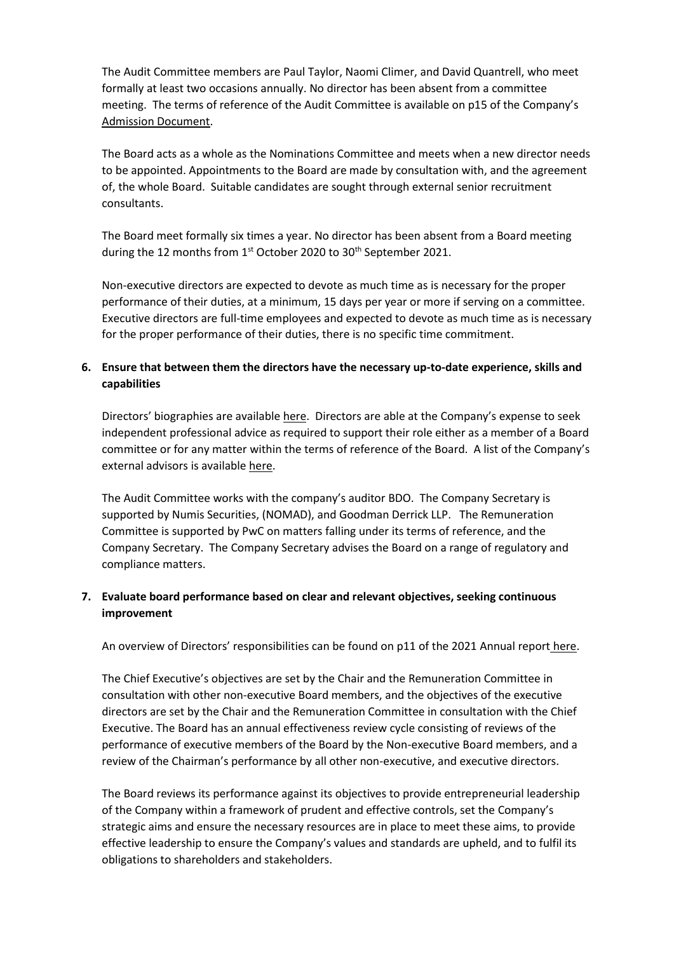The Audit Committee members are Paul Taylor, Naomi Climer, and David Quantrell, who meet formally at least two occasions annually. No director has been absent from a committee meeting. The terms of reference of the Audit Committee is available on p15 of the Company's [Admission Document.](https://www.oxfordmetrics.com/file/omg/1-876-admissiondocument.pdf)

The Board acts as a whole as the Nominations Committee and meets when a new director needs to be appointed. Appointments to the Board are made by consultation with, and the agreement of, the whole Board. Suitable candidates are sought through external senior recruitment consultants.

The Board meet formally six times a year. No director has been absent from a Board meeting during the 12 months from 1<sup>st</sup> October 2020 to 30<sup>th</sup> September 2021.

Non-executive directors are expected to devote as much time as is necessary for the proper performance of their duties, at a minimum, 15 days per year or more if serving on a committee. Executive directors are full-time employees and expected to devote as much time as is necessary for the proper performance of their duties, there is no specific time commitment.

## **6. Ensure that between them the directors have the necessary up-to-date experience, skills and capabilities**

Directors' biographies are available [here.](https://www.oxfordmetrics.com/team) Directors are able at the Company's expense to seek independent professional advice as required to support their role either as a member of a Board committee or for any matter within the terms of reference of the Board. A list of the Company's external advisors is available [here.](https://www.oxfordmetrics.com/advisers)

The Audit Committee works with the company's auditor BDO. The Company Secretary is supported by Numis Securities, (NOMAD), and Goodman Derrick LLP. The Remuneration Committee is supported by PwC on matters falling under its terms of reference, and the Company Secretary. The Company Secretary advises the Board on a range of regulatory and compliance matters.

## **7. Evaluate board performance based on clear and relevant objectives, seeking continuous improvement**

An overview of Directors' responsibilities can be found on p11 of the 2021 Annual report [here.](https://oxfordmetrics.com/file/oxfordmetrics/2021-oxford-metrics-annual-report-96413.pdf)

The Chief Executive's objectives are set by the Chair and the Remuneration Committee in consultation with other non-executive Board members, and the objectives of the executive directors are set by the Chair and the Remuneration Committee in consultation with the Chief Executive. The Board has an annual effectiveness review cycle consisting of reviews of the performance of executive members of the Board by the Non-executive Board members, and a review of the Chairman's performance by all other non-executive, and executive directors.

The Board reviews its performance against its objectives to provide entrepreneurial leadership of the Company within a framework of prudent and effective controls, set the Company's strategic aims and ensure the necessary resources are in place to meet these aims, to provide effective leadership to ensure the Company's values and standards are upheld, and to fulfil its obligations to shareholders and stakeholders.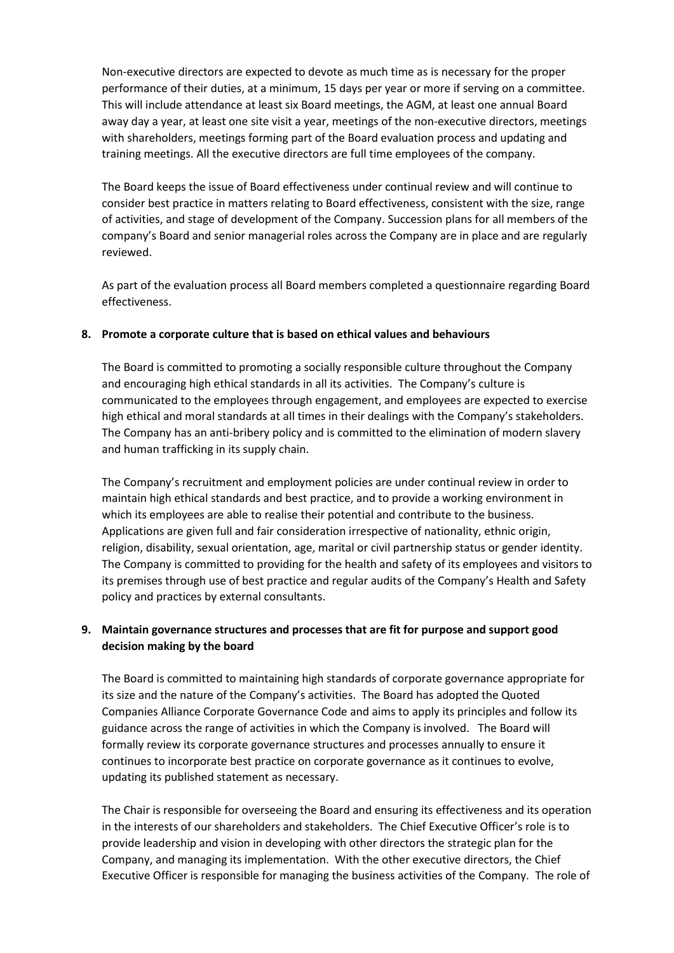Non-executive directors are expected to devote as much time as is necessary for the proper performance of their duties, at a minimum, 15 days per year or more if serving on a committee. This will include attendance at least six Board meetings, the AGM, at least one annual Board away day a year, at least one site visit a year, meetings of the non-executive directors, meetings with shareholders, meetings forming part of the Board evaluation process and updating and training meetings. All the executive directors are full time employees of the company.

The Board keeps the issue of Board effectiveness under continual review and will continue to consider best practice in matters relating to Board effectiveness, consistent with the size, range of activities, and stage of development of the Company. Succession plans for all members of the company's Board and senior managerial roles across the Company are in place and are regularly reviewed.

As part of the evaluation process all Board members completed a questionnaire regarding Board effectiveness.

#### **8. Promote a corporate culture that is based on ethical values and behaviours**

The Board is committed to promoting a socially responsible culture throughout the Company and encouraging high ethical standards in all its activities. The Company's culture is communicated to the employees through engagement, and employees are expected to exercise high ethical and moral standards at all times in their dealings with the Company's stakeholders. The Company has an anti-bribery policy and is committed to the elimination of modern slavery and human trafficking in its supply chain.

The Company's recruitment and employment policies are under continual review in order to maintain high ethical standards and best practice, and to provide a working environment in which its employees are able to realise their potential and contribute to the business. Applications are given full and fair consideration irrespective of nationality, ethnic origin, religion, disability, sexual orientation, age, marital or civil partnership status or gender identity. The Company is committed to providing for the health and safety of its employees and visitors to its premises through use of best practice and regular audits of the Company's Health and Safety policy and practices by external consultants.

## **9. Maintain governance structures and processes that are fit for purpose and support good decision making by the board**

The Board is committed to maintaining high standards of corporate governance appropriate for its size and the nature of the Company's activities. The Board has adopted the Quoted Companies Alliance Corporate Governance Code and aims to apply its principles and follow its guidance across the range of activities in which the Company is involved. The Board will formally review its corporate governance structures and processes annually to ensure it continues to incorporate best practice on corporate governance as it continues to evolve, updating its published statement as necessary.

The Chair is responsible for overseeing the Board and ensuring its effectiveness and its operation in the interests of our shareholders and stakeholders. The Chief Executive Officer's role is to provide leadership and vision in developing with other directors the strategic plan for the Company, and managing its implementation. With the other executive directors, the Chief Executive Officer is responsible for managing the business activities of the Company. The role of